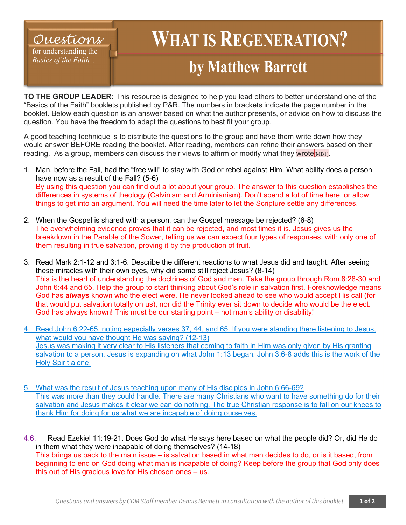## *Questions*

for understanding the *Basics of the Faith*…

## **WHAT IS REGENERATION? by Matthew Barrett**

**TO THE GROUP LEADER:** This resource is designed to help you lead others to better understand one of the "Basics of the Faith" booklets published by P&R. The numbers in brackets indicate the page number in the booklet. Below each question is an answer based on what the author presents, or advice on how to discuss the question. You have the freedom to adapt the questions to best fit your group.

A good teaching technique is to distribute the questions to the group and have them write down how they would answer BEFORE reading the booklet. After reading, members can refine their answers based on their reading. As a group, members can discuss their views to affirm or modify what they wrote  $MBL$ 

- 1. Man, before the Fall, had the "free will" to stay with God or rebel against Him. What ability does a person have now as a result of the Fall? (5-6) By using this question you can find out a lot about your group. The answer to this question establishes the differences in systems of theology (Calvinism and Arminianism). Don't spend a lot of time here, or allow things to get into an argument. You will need the time later to let the Scripture settle any differences.
- 2. When the Gospel is shared with a person, can the Gospel message be rejected? (6-8) The overwhelming evidence proves that it can be rejected, and most times it is. Jesus gives us the breakdown in the Parable of the Sower, telling us we can expect four types of responses, with only one of them resulting in true salvation, proving it by the production of fruit.
- 3. Read Mark 2:1-12 and 3:1-6. Describe the different reactions to what Jesus did and taught. After seeing these miracles with their own eyes, why did some still reject Jesus? (8-14) This is the heart of understanding the doctrines of God and man. Take the group through Rom.8:28-30 and John 6:44 and 65. Help the group to start thinking about God's role in salvation first. Foreknowledge means God has *always* known who the elect were. He never looked ahead to see who would accept His call (for that would put salvation totally on us), nor did the Trinity ever sit down to decide who would be the elect. God has always known! This must be our starting point – not man's ability or disability!
- 4. Read John 6:22-65, noting especially verses 37, 44, and 65. If you were standing there listening to Jesus, what would you have thought He was saying? (12-13) Jesus was making it very clear to His listeners that coming to faith in Him was only given by His granting salvation to a person. Jesus is expanding on what John 1:13 began. John 3:6-8 adds this is the work of the Holy Spirit alone.
- 5. What was the result of Jesus teaching upon many of His disciples in John 6:66-69? This was more than they could handle. There are many Christians who want to have something do for their salvation and Jesus makes it clear we can do nothing. The true Christian response is to fall on our knees to thank Him for doing for us what we are incapable of doing ourselves.

4.6. Read Ezekiel 11:19-21. Does God do what He says here based on what the people did? Or, did He do in them what they were incapable of doing themselves? (14-18) This brings us back to the main issue – is salvation based in what man decides to do, or is it based, from beginning to end on God doing what man is incapable of doing? Keep before the group that God only does this out of His gracious love for His chosen ones – us.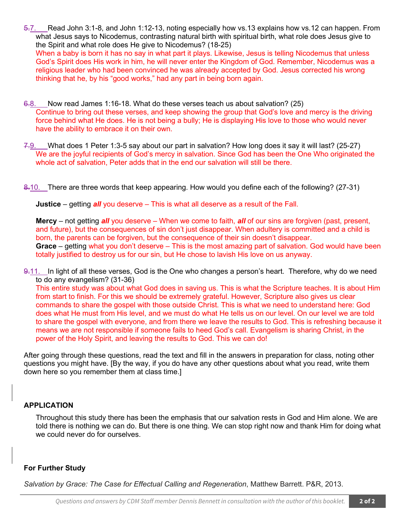5.7. Read John 3:1-8, and John 1:12-13, noting especially how vs.13 explains how vs.12 can happen. From what Jesus says to Nicodemus, contrasting natural birth with spiritual birth, what role does Jesus give to the Spirit and what role does He give to Nicodemus? (18-25) When a baby is born it has no say in what part it plays. Likewise, Jesus is telling Nicodemus that unless God's Spirit does His work in him, he will never enter the Kingdom of God. Remember, Nicodemus was a

religious leader who had been convinced he was already accepted by God. Jesus corrected his wrong thinking that he, by his "good works," had any part in being born again.

- 6.8. Now read James 1:16-18. What do these verses teach us about salvation? (25) Continue to bring out these verses, and keep showing the group that God's love and mercy is the driving force behind what He does. He is not being a bully; He is displaying His love to those who would never have the ability to embrace it on their own.
- 7.9. What does 1 Peter 1:3-5 say about our part in salvation? How long does it say it will last? (25-27) We are the joyful recipients of God's mercy in salvation. Since God has been the One Who originated the whole act of salvation, Peter adds that in the end our salvation will still be there.
- 8.10. There are three words that keep appearing. How would you define each of the following? (27-31)

**Justice** – getting *all* you deserve – This is what all deserve as a result of the Fall.

**Mercy** – not getting *all* you deserve – When we come to faith, *all* of our sins are forgiven (past, present, and future), but the consequences of sin don't just disappear. When adultery is committed and a child is born, the parents can be forgiven, but the consequence of their sin doesn't disappear. **Grace** – getting what you don't deserve – This is the most amazing part of salvation. God would have been totally justified to destroy us for our sin, but He chose to lavish His love on us anyway.

9.11. In light of all these verses, God is the One who changes a person's heart. Therefore, why do we need to do any evangelism? (31-36)

This entire study was about what God does in saving us. This is what the Scripture teaches. It is about Him from start to finish. For this we should be extremely grateful. However, Scripture also gives us clear commands to share the gospel with those outside Christ. This is what we need to understand here: God does what He must from His level, and we must do what He tells us on our level. On our level we are told to share the gospel with everyone, and from there we leave the results to God. This is refreshing because it means we are not responsible if someone fails to heed God's call. Evangelism is sharing Christ, in the power of the Holy Spirit, and leaving the results to God. This we can do!

After going through these questions, read the text and fill in the answers in preparation for class, noting other questions you might have. [By the way, if you do have any other questions about what you read, write them down here so you remember them at class time.]

## **APPLICATION**

Throughout this study there has been the emphasis that our salvation rests in God and Him alone. We are told there is nothing we can do. But there is one thing. We can stop right now and thank Him for doing what we could never do for ourselves.

## **For Further Study**

*Salvation by Grace: The Case for Effectual Calling and Regeneration*, Matthew Barrett. P&R, 2013.